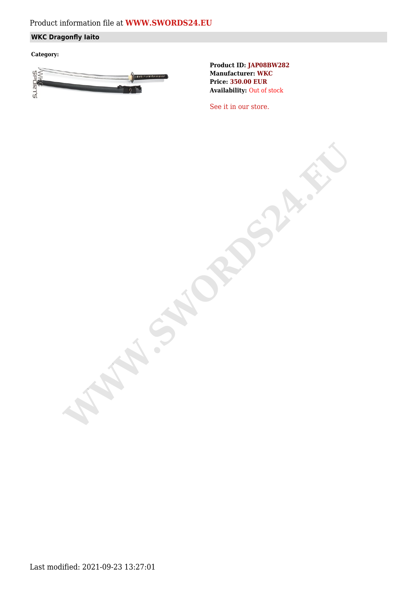## Product information file at **[WWW.SWORDS24.EU](https://www.swords24.eu)**

### **WKC Dragonfly Iaito**

**Category:**



**Product ID: JAP08BW282 Manufacturer: WKC Price: 350.00 EUR Availability:** Out of stock

[See it in our store.](https://www.swords24.eu/product/description/1124/WKC-Dragonfly-Iaito-JAP08BW302.html)

**WARDSHIP**